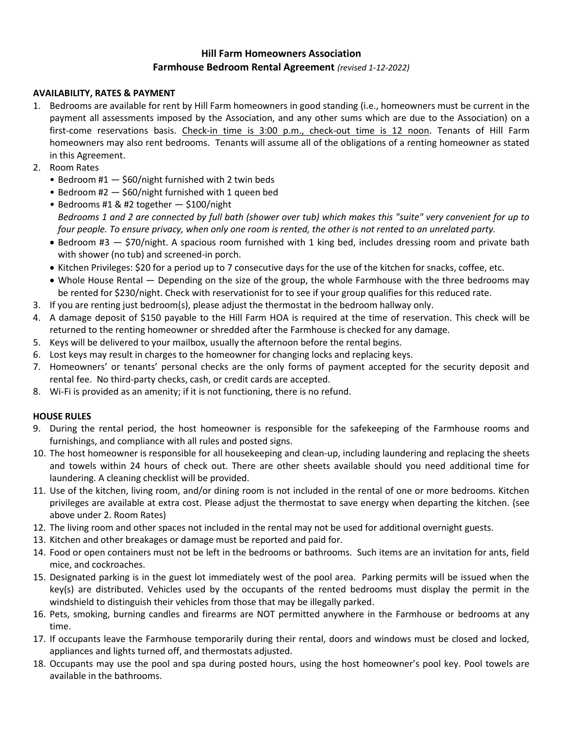# **Hill Farm Homeowners Association Farmhouse Bedroom Rental Agreement** *(revised 1-12-2022)*

### **AVAILABILITY, RATES & PAYMENT**

- 1. Bedrooms are available for rent by Hill Farm homeowners in good standing (i.e., homeowners must be current in the payment all assessments imposed by the Association, and any other sums which are due to the Association) on a first-come reservations basis. Check-in time is 3:00 p.m., check-out time is 12 noon. Tenants of Hill Farm homeowners may also rent bedrooms. Tenants will assume all of the obligations of a renting homeowner as stated in this Agreement.
- 2. Room Rates
	- Bedroom #1 \$60/night furnished with 2 twin beds
	- Bedroom #2 \$60/night furnished with 1 queen bed
	- Bedrooms #1 & #2 together \$100/night *Bedrooms 1 and 2 are connected by full bath (shower over tub) which makes this "suite" very convenient for up to four people. To ensure privacy, when only one room is rented, the other is not rented to an unrelated party.*
	- Bedroom #3 \$70/night. A spacious room furnished with 1 king bed, includes dressing room and private bath with shower (no tub) and screened-in porch.
	- Kitchen Privileges: \$20 for a period up to 7 consecutive days for the use of the kitchen for snacks, coffee, etc.
	- Whole House Rental Depending on the size of the group, the whole Farmhouse with the three bedrooms may be rented for \$230/night. Check with reservationist for to see if your group qualifies for this reduced rate.
- 3. If you are renting just bedroom(s), please adjust the thermostat in the bedroom hallway only.
- 4. A damage deposit of \$150 payable to the Hill Farm HOA is required at the time of reservation. This check will be returned to the renting homeowner or shredded after the Farmhouse is checked for any damage.
- 5. Keys will be delivered to your mailbox, usually the afternoon before the rental begins.
- 6. Lost keys may result in charges to the homeowner for changing locks and replacing keys.
- 7. Homeowners' or tenants' personal checks are the only forms of payment accepted for the security deposit and rental fee. No third-party checks, cash, or credit cards are accepted.
- 8. Wi-Fi is provided as an amenity; if it is not functioning, there is no refund.

## **HOUSE RULES**

- 9. During the rental period, the host homeowner is responsible for the safekeeping of the Farmhouse rooms and furnishings, and compliance with all rules and posted signs.
- 10. The host homeowner is responsible for all housekeeping and clean-up, including laundering and replacing the sheets and towels within 24 hours of check out. There are other sheets available should you need additional time for laundering. A cleaning checklist will be provided.
- 11. Use of the kitchen, living room, and/or dining room is not included in the rental of one or more bedrooms. Kitchen privileges are available at extra cost. Please adjust the thermostat to save energy when departing the kitchen. (see above under 2. Room Rates)
- 12. The living room and other spaces not included in the rental may not be used for additional overnight guests.
- 13. Kitchen and other breakages or damage must be reported and paid for.
- 14. Food or open containers must not be left in the bedrooms or bathrooms. Such items are an invitation for ants, field mice, and cockroaches.
- 15. Designated parking is in the guest lot immediately west of the pool area. Parking permits will be issued when the key(s) are distributed. Vehicles used by the occupants of the rented bedrooms must display the permit in the windshield to distinguish their vehicles from those that may be illegally parked.
- 16. Pets, smoking, burning candles and firearms are NOT permitted anywhere in the Farmhouse or bedrooms at any time.
- 17. If occupants leave the Farmhouse temporarily during their rental, doors and windows must be closed and locked, appliances and lights turned off, and thermostats adjusted.
- 18. Occupants may use the pool and spa during posted hours, using the host homeowner's pool key. Pool towels are available in the bathrooms.